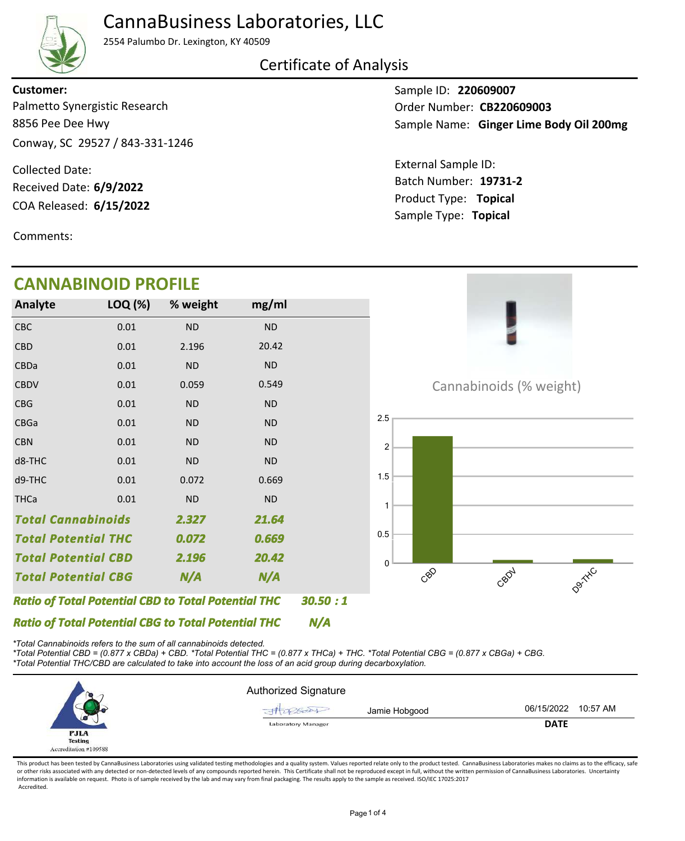

## CannaBusiness Laboratories, LLC

2554 Palumbo Dr. Lexington, KY 40509

Certificate of Analysis

### Palmetto Synergistic Research **Customer:**

8856 Pee Dee Hwy Conway, SC 29527 / 843-331-1246

COA Released: Collected Date: Received Date: **6/9/2022**

Comments:

Sample ID: **220609007** Sample Name: Ginger Lime Body Oil 200mg Order Number: CB220609003

Product Type: **Topical 6/15/2022 19731-2** Batch Number: External Sample ID: Sample Type: **Topical**



*\*Total Cannabinoids refers to the sum of all cannabinoids detected.*

*\*Total Potential CBD = (0.877 x CBDa) + CBD. \*Total Potential THC = (0.877 x THCa) + THC. \*Total Potential CBG = (0.877 x CBGa) + CBG. \*Total Potential THC/CBD are calculated to take into account the loss of an acid group during decarboxylation.*



This product has been tested by CannaBusiness Laboratories using validated testing methodologies and a quality system. Values reported relate only to the product tested. CannaBusiness Laboratories makes no claims as to the or other risks associated with any detected or non-detected levels of any compounds reported herein. This Certificate shall not be reproduced except in full, without the written permission of CannaBusiness Laboratories. Un information is available on request. Photo is of sample received by the lab and may vary from final packaging. The results apply to the sample as received. ISO/IEC 17025:2017 Accredited.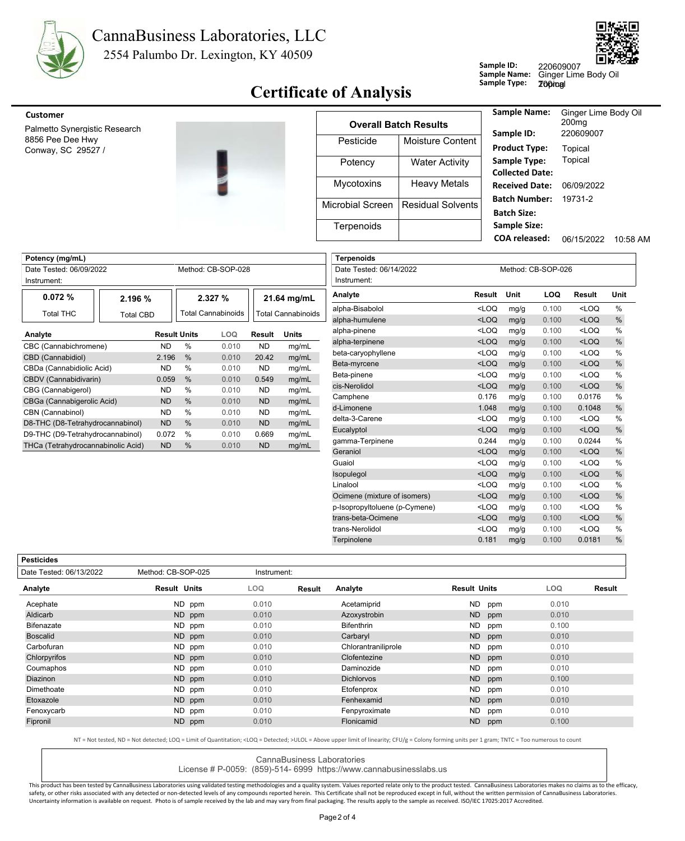



## **Certificate of Analysis** Sample Type:

| Customer<br>Palmetto Synergistic Research |  |                  | <b>Overall Batch Results</b> | <b>Sample Name:</b>                        | Ginger Lime Body Oil<br>200 <sub>mq</sub><br>220609007 |          |
|-------------------------------------------|--|------------------|------------------------------|--------------------------------------------|--------------------------------------------------------|----------|
| 8856 Pee Dee Hwy<br>Conway, SC 29527 /    |  | Pesticide        | Moisture Content             | Sample ID:<br><b>Product Type:</b>         | Topical                                                |          |
|                                           |  | Potency          | <b>Water Activity</b>        | Sample Type:<br><b>Collected Date:</b>     | Topical                                                |          |
|                                           |  | Mycotoxins       | <b>Heavy Metals</b>          | <b>Received Date:</b>                      | 06/09/2022                                             |          |
|                                           |  | Microbial Screen | Residual Solvents            | <b>Batch Number:</b><br><b>Batch Size:</b> | 19731-2                                                |          |
|                                           |  | Terpenoids       |                              | <b>Sample Size:</b>                        |                                                        |          |
|                                           |  |                  |                              | <b>COA</b> released:                       | 06/15/2022                                             | 10:58 AM |

**Sample ID:**

**Sample Name:**

200mg

| Potency (mg/mL)                    |           |                     |                    |       |                    |       |  |
|------------------------------------|-----------|---------------------|--------------------|-------|--------------------|-------|--|
| Date Tested: 06/09/2022            |           |                     | Method: CB-SOP-028 |       |                    |       |  |
| Instrument:                        |           |                     |                    |       |                    |       |  |
| 0.072%                             | 2.196 %   |                     | 2.327%             |       | 21.64 mg/mL        |       |  |
| Total THC                          | Total CBD |                     | Total Cannabinoids |       | Total Cannabinoids |       |  |
| Analyte                            |           | <b>Result Units</b> |                    | LOQ   | Result             | Units |  |
| CBC (Cannabichromene)              | <b>ND</b> | $\frac{0}{0}$       | 0.010              | ND.   | mg/mL              |       |  |
| CBD (Cannabidiol)                  | 2.196     | $\frac{0}{0}$       | 0.010              | 20.42 | mg/mL              |       |  |
| CBDa (Cannabidiolic Acid)          | <b>ND</b> | $\frac{0}{0}$       | 0.010              | ND.   | mg/mL              |       |  |
| CBDV (Cannabidivarin)              |           | 0.059               | $\frac{0}{0}$      | 0.010 | 0.549              | mg/mL |  |
| CBG (Cannabigerol)                 | ND        | $\frac{0}{0}$       | 0.010              | ND.   | mg/mL              |       |  |
| CBGa (Cannabigerolic Acid)         |           | <b>ND</b>           | $\%$               | 0.010 | ND.                | mg/mL |  |
| CBN (Cannabinol)                   |           |                     |                    | 0.010 | ND.                | mg/mL |  |
| D8-THC (D8-Tetrahydrocannabinol)   |           | <b>ND</b>           | $\%$               | 0.010 | <b>ND</b>          | mg/mL |  |
| D9-THC (D9-Tetrahydrocannabinol)   |           | 0.072               | $\frac{0}{0}$      | 0.010 | 0.669              | mg/mL |  |
| THCa (Tetrahydrocannabinolic Acid) |           | <b>ND</b>           | %                  | 0.010 | <b>ND</b>          | mg/mL |  |

| <b>Terpenoids</b>             |                    |      |       |                                                      |               |
|-------------------------------|--------------------|------|-------|------------------------------------------------------|---------------|
| Date Tested: 06/14/2022       | Method: CB-SOP-026 |      |       |                                                      |               |
| Instrument:                   |                    |      |       |                                                      |               |
| Analyte                       | <b>Result</b>      | Unit | LOQ   | Result                                               | Unit          |
| alpha-Bisabolol               | $<$ LOQ            | mg/g | 0.100 | $<$ LOQ                                              | $\frac{0}{0}$ |
| alpha-humulene                | $<$ LOQ            | mg/g | 0.100 | $<$ LOQ                                              | $\%$          |
| alpha-pinene                  | $<$ LOO            | mg/g | 0.100 | <loq< td=""><td><math>\frac{0}{0}</math></td></loq<> | $\frac{0}{0}$ |
| alpha-terpinene               | $<$ LOQ            | mg/g | 0.100 | $<$ LOQ                                              | $\frac{0}{0}$ |
| beta-caryophyllene            | $<$ LOQ            | mg/g | 0.100 | $<$ LOQ                                              | $\frac{0}{0}$ |
| Beta-myrcene                  | $<$ LOQ            | mg/g | 0.100 | $<$ LOQ                                              | $\%$          |
| Beta-pinene                   | $<$ LOQ            | mg/g | 0.100 | <loq< td=""><td><math>\frac{0}{0}</math></td></loq<> | $\frac{0}{0}$ |
| cis-Nerolidol                 | $<$ LOQ            | mg/g | 0.100 | $<$ LOQ                                              | $\frac{0}{0}$ |
| Camphene                      | 0.176              | mg/g | 0.100 | 0.0176                                               | $\frac{0}{0}$ |
| d-Limonene                    | 1.048              | mg/g | 0.100 | 0.1048                                               | %             |
| delta-3-Carene                | $<$ LOO            | mg/g | 0.100 | <loq< td=""><td><math>\frac{0}{0}</math></td></loq<> | $\frac{0}{0}$ |
| Eucalyptol                    | $<$ LOQ            | mg/g | 0.100 | $<$ LOQ                                              | $\%$          |
| gamma-Terpinene               | 0.244              | mg/g | 0.100 | 0.0244                                               | $\frac{0}{0}$ |
| Geraniol                      | $<$ LOQ            | mg/g | 0.100 | $<$ LOQ                                              | $\frac{0}{0}$ |
| Guaiol                        | $<$ LOQ            | mg/g | 0.100 | $<$ LOQ                                              | $\frac{0}{0}$ |
| Isopulegol                    | $<$ LOQ            | mg/g | 0.100 | $<$ LOQ                                              | $\frac{0}{0}$ |
| Linalool                      | $<$ LOQ            | mg/g | 0.100 | <loq< td=""><td><math>\frac{0}{0}</math></td></loq<> | $\frac{0}{0}$ |
| Ocimene (mixture of isomers)  | $<$ LOQ            | mg/g | 0.100 | $<$ LOQ                                              | %             |
| p-Isopropyltoluene (p-Cymene) | $<$ LOQ            | mg/g | 0.100 | $<$ LOQ                                              | $\frac{0}{0}$ |
| trans-beta-Ocimene            | $<$ LOQ            | mg/g | 0.100 | $<$ LOQ                                              | $\%$          |
| trans-Nerolidol               | $<$ LOQ            | mg/g | 0.100 | $<$ LOQ                                              | $\frac{0}{0}$ |
| Terpinolene                   | 0.181              | mg/g | 0.100 | 0.0181                                               | $\frac{0}{0}$ |
|                               |                    |      |       |                                                      |               |

| esticid<br>les |
|----------------|
|----------------|

| 696669                  |                     |             |                     |                     |            |        |
|-------------------------|---------------------|-------------|---------------------|---------------------|------------|--------|
| Date Tested: 06/13/2022 | Method: CB-SOP-025  | Instrument: |                     |                     |            |        |
| Analyte                 | <b>Result Units</b> | <b>LOQ</b>  | Analyte<br>Result   | <b>Result Units</b> | <b>LOQ</b> | Result |
| Acephate                | ND ppm              | 0.010       | Acetamiprid         | ND.<br>ppm          | 0.010      |        |
| Aldicarb                | ND ppm              | 0.010       | Azoxystrobin        | <b>ND</b><br>ppm    | 0.010      |        |
| Bifenazate              | ND ppm              | 0.010       | <b>Bifenthrin</b>   | ND.<br>ppm          | 0.100      |        |
| <b>Boscalid</b>         | ND ppm              | 0.010       | Carbaryl            | ND<br>ppm           | 0.010      |        |
| Carbofuran              | ND ppm              | 0.010       | Chlorantraniliprole | ND.<br>ppm          | 0.010      |        |
| Chlorpyrifos            | ND ppm              | 0.010       | Clofentezine        | <b>ND</b><br>ppm    | 0.010      |        |
| Coumaphos               | ND ppm              | 0.010       | Daminozide          | ND.<br>ppm          | 0.010      |        |
| Diazinon                | ND ppm              | 0.010       | <b>Dichlorvos</b>   | ND<br>ppm           | 0.100      |        |
| Dimethoate              | ND ppm              | 0.010       | Etofenprox          | ND.<br>ppm          | 0.010      |        |
| Etoxazole               | ND ppm              | 0.010       | Fenhexamid          | <b>ND</b><br>ppm    | 0.010      |        |
| Fenoxycarb              | ND ppm              | 0.010       | Fenpyroximate       | ND<br>ppm           | 0.010      |        |
| Fipronil                | ND ppm              | 0.010       | Flonicamid          | ND<br>ppm           | 0.100      |        |
|                         |                     |             |                     |                     |            |        |

NT = Not tested, ND = Not detected; LOQ = Limit of Quantitation; <LOQ = Detected; >ULOL = Above upper limit of linearity; CFU/g = Colony forming units per 1 gram; TNTC = Too numerous to count

CannaBusiness Laboratories

License # P-0059: (859)-514- 6999 https://www.cannabusinesslabs.us

This product has been tested by CannaBusiness Laboratories using validated testing methodologies and a quality system. Values reported relate only to the product tested. CannaBusiness Laboratories makes no claims as to the safety, or other risks associated with any detected or non-detected levels of any compounds reported herein. This Certificate shall not be reproduced except in full, without the written permission of CannaBusiness Laborato Uncertainty information is available on request. Photo is of sample received by the lab and may vary from final packaging. The results apply to the sample as received. ISO/IEC 17025:2017 Accredited.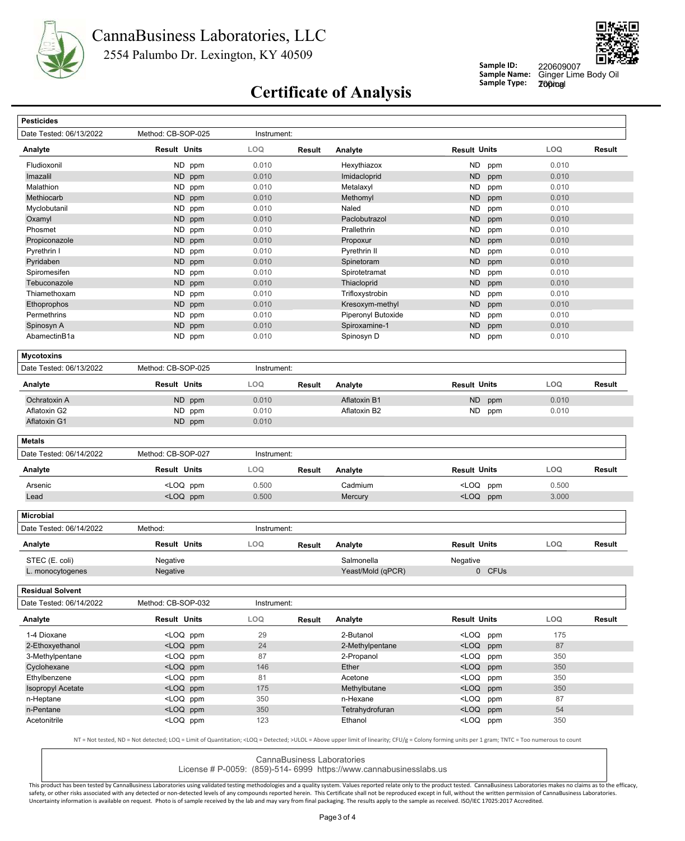



**Sample ID: Sample Name:**

220609007<br>Ginger Lime Body Oil 200mg

# **Certificate of Analysis** Sample Type:

| Date Tested: 06/13/2022                                                                         | Method: CB-SOP-025                                                                                                                                                                                                       | Instrument: |               |                             |                                                                                   |        |          |        |
|-------------------------------------------------------------------------------------------------|--------------------------------------------------------------------------------------------------------------------------------------------------------------------------------------------------------------------------|-------------|---------------|-----------------------------|-----------------------------------------------------------------------------------|--------|----------|--------|
| Analyte                                                                                         | <b>Result Units</b>                                                                                                                                                                                                      | LOQ         | <b>Result</b> | Analyte                     | <b>Result Units</b>                                                               |        | LOQ      | Result |
| Fludioxonil                                                                                     | ND ppm                                                                                                                                                                                                                   | 0.010       |               | Hexythiazox                 | ND.                                                                               | ppm    | 0.010    |        |
| Imazalil                                                                                        | ND ppm                                                                                                                                                                                                                   | 0.010       |               | Imidacloprid                | <b>ND</b>                                                                         | ppm    | 0.010    |        |
| Malathion                                                                                       | ND ppm                                                                                                                                                                                                                   | 0.010       |               | Metalaxyl                   | <b>ND</b>                                                                         | ppm    | 0.010    |        |
| Methiocarb                                                                                      | ND<br>ppm                                                                                                                                                                                                                | 0.010       |               | Methomyl                    | <b>ND</b>                                                                         | ppm    | 0.010    |        |
| Myclobutanil                                                                                    | ND.<br>ppm                                                                                                                                                                                                               | 0.010       |               | Naled                       | <b>ND</b>                                                                         | ppm    | 0.010    |        |
| Oxamyl                                                                                          | ND.<br>ppm                                                                                                                                                                                                               | 0.010       |               | Paclobutrazol               | <b>ND</b>                                                                         | ppm    | 0.010    |        |
| Phosmet                                                                                         | ND<br>ppm                                                                                                                                                                                                                | 0.010       |               | Prallethrin                 | ND                                                                                | ppm    | 0.010    |        |
| Propiconazole                                                                                   | ND ppm                                                                                                                                                                                                                   | 0.010       |               | Propoxur                    | <b>ND</b>                                                                         | ppm    | 0.010    |        |
| Pyrethrin I                                                                                     | ND.<br>ppm                                                                                                                                                                                                               | 0.010       |               | Pyrethrin II                | <b>ND</b>                                                                         | ppm    | 0.010    |        |
| Pyridaben                                                                                       | ND ppm                                                                                                                                                                                                                   | 0.010       |               | Spinetoram                  | <b>ND</b>                                                                         | ppm    | 0.010    |        |
| Spiromesifen                                                                                    | ND ppm                                                                                                                                                                                                                   | 0.010       |               | Spirotetramat               | <b>ND</b>                                                                         |        | 0.010    |        |
|                                                                                                 |                                                                                                                                                                                                                          |             |               |                             |                                                                                   | ppm    |          |        |
| Tebuconazole                                                                                    | ND.<br>ppm                                                                                                                                                                                                               | 0.010       |               | Thiacloprid                 | <b>ND</b>                                                                         | ppm    | 0.010    |        |
| Thiamethoxam                                                                                    | ND ppm                                                                                                                                                                                                                   | 0.010       |               | Trifloxystrobin             | ND                                                                                | ppm    | 0.010    |        |
| Ethoprophos                                                                                     | ND ppm                                                                                                                                                                                                                   | 0.010       |               | Kresoxym-methyl             | <b>ND</b>                                                                         | ppm    | 0.010    |        |
| Permethrins                                                                                     | ND.<br>ppm                                                                                                                                                                                                               | 0.010       |               | Piperonyl Butoxide          | <b>ND</b>                                                                         | ppm    | 0.010    |        |
| Spinosyn A                                                                                      | ND<br>ppm                                                                                                                                                                                                                | 0.010       |               | Spiroxamine-1               | <b>ND</b>                                                                         | ppm    | 0.010    |        |
| AbamectinB1a                                                                                    | ND ppm                                                                                                                                                                                                                   | 0.010       |               | Spinosyn D                  | ND                                                                                | ppm    | 0.010    |        |
| <b>Mycotoxins</b>                                                                               |                                                                                                                                                                                                                          |             |               |                             |                                                                                   |        |          |        |
| Date Tested: 06/13/2022                                                                         | Method: CB-SOP-025                                                                                                                                                                                                       | Instrument: |               |                             |                                                                                   |        |          |        |
| Analyte                                                                                         | <b>Result Units</b>                                                                                                                                                                                                      | <b>LOQ</b>  | <b>Result</b> | Analyte                     | <b>Result Units</b>                                                               |        | LOQ      | Result |
| Ochratoxin A                                                                                    | ND<br>ppm                                                                                                                                                                                                                | 0.010       |               | Aflatoxin B1                | <b>ND</b>                                                                         | ppm    | 0.010    |        |
| Aflatoxin G2                                                                                    | ND ppm                                                                                                                                                                                                                   | 0.010       |               | Aflatoxin B2                | ND                                                                                | ppm    | 0.010    |        |
| Aflatoxin G1                                                                                    | ND ppm                                                                                                                                                                                                                   | 0.010       |               |                             |                                                                                   |        |          |        |
| <b>Metals</b>                                                                                   |                                                                                                                                                                                                                          |             |               |                             |                                                                                   |        |          |        |
| Date Tested: 06/14/2022                                                                         | Method: CB-SOP-027                                                                                                                                                                                                       | Instrument: |               |                             |                                                                                   |        |          |        |
| Analyte                                                                                         | <b>Result Units</b>                                                                                                                                                                                                      | LOQ         | Result        | Analyte                     | <b>Result Units</b>                                                               |        | LOQ      | Result |
| Arsenic                                                                                         | <loq ppm<="" td=""><td>0.500</td><td></td><td>Cadmium</td><td><loq< td=""><td>ppm</td><td>0.500</td><td></td></loq<></td></loq>                                                                                          | 0.500       |               | Cadmium                     | <loq< td=""><td>ppm</td><td>0.500</td><td></td></loq<>                            | ppm    | 0.500    |        |
| Lead                                                                                            | <loq ppm<="" td=""><td>0.500</td><td></td><td>Mercury</td><td><loq ppm<="" td=""><td></td><td>3.000</td><td></td></loq></td></loq>                                                                                       | 0.500       |               | Mercury                     | <loq ppm<="" td=""><td></td><td>3.000</td><td></td></loq>                         |        | 3.000    |        |
|                                                                                                 |                                                                                                                                                                                                                          |             |               |                             |                                                                                   |        |          |        |
| <b>Microbial</b>                                                                                |                                                                                                                                                                                                                          |             |               |                             |                                                                                   |        |          |        |
| Date Tested: 06/14/2022                                                                         | Method:                                                                                                                                                                                                                  | Instrument: |               |                             |                                                                                   |        |          |        |
|                                                                                                 |                                                                                                                                                                                                                          |             |               |                             |                                                                                   |        |          | Result |
|                                                                                                 | <b>Result Units</b>                                                                                                                                                                                                      | LOQ         | Result        | Analyte                     | <b>Result Units</b>                                                               |        | LOQ      |        |
| STEC (E. coli)                                                                                  | Negative                                                                                                                                                                                                                 |             |               | Salmonella                  | Negative                                                                          |        |          |        |
|                                                                                                 | Negative                                                                                                                                                                                                                 |             |               | Yeast/Mold (qPCR)           |                                                                                   | 0 CFUs |          |        |
| Analyte<br>L. monocytogenes<br>Residual Solvent                                                 |                                                                                                                                                                                                                          |             |               |                             |                                                                                   |        |          |        |
| Date Tested: 06/14/2022                                                                         | Method: CB-SOP-032                                                                                                                                                                                                       | Instrument: |               |                             |                                                                                   |        |          |        |
|                                                                                                 | <b>Result Units</b>                                                                                                                                                                                                      | LOQ.        | Result        | Analyte                     | <b>Result Units</b>                                                               |        | LOQ      |        |
|                                                                                                 | <loq ppm<="" td=""><td>29</td><td></td><td>2-Butanol</td><td><loq ppm<="" td=""><td></td><td>175</td><td></td></loq></td></loq>                                                                                          | 29          |               | 2-Butanol                   | <loq ppm<="" td=""><td></td><td>175</td><td></td></loq>                           |        | 175      |        |
|                                                                                                 | <loq ppm<="" td=""><td>24</td><td></td><td>2-Methylpentane</td><td><loq ppm<="" td=""><td></td><td>87</td><td></td></loq></td></loq>                                                                                     | 24          |               | 2-Methylpentane             | <loq ppm<="" td=""><td></td><td>87</td><td></td></loq>                            |        | 87       |        |
|                                                                                                 | <loq ppm<="" td=""><td>87</td><td></td><td>2-Propanol</td><td><loq ppm<="" td=""><td></td><td>350</td><td></td></loq></td></loq>                                                                                         | 87          |               | 2-Propanol                  | <loq ppm<="" td=""><td></td><td>350</td><td></td></loq>                           |        | 350      |        |
|                                                                                                 | <loq ppm<="" td=""><td>146</td><td></td><td>Ether</td><td><loq ppm<="" td=""><td></td><td>350</td><td></td></loq></td></loq>                                                                                             | 146         |               | Ether                       | <loq ppm<="" td=""><td></td><td>350</td><td></td></loq>                           |        | 350      |        |
|                                                                                                 | <loq ppm<="" td=""><td>81</td><td></td><td>Acetone</td><td><loq ppm<="" td=""><td></td><td>350</td><td></td></loq></td></loq>                                                                                            | 81          |               | Acetone                     | <loq ppm<="" td=""><td></td><td>350</td><td></td></loq>                           |        | 350      |        |
|                                                                                                 |                                                                                                                                                                                                                          |             |               |                             |                                                                                   |        |          |        |
| 1-4 Dioxane<br>3-Methylpentane<br>Ethylbenzene                                                  | <loq ppm<="" td=""><td>175</td><td></td><td>Methylbutane</td><td><loq ppm<="" td=""><td></td><td>350</td><td></td></loq></td></loq>                                                                                      | 175         |               | Methylbutane                | <loq ppm<="" td=""><td></td><td>350</td><td></td></loq>                           |        | 350      |        |
| Analyte<br>2-Ethoxyethanol<br>Cyclohexane<br><b>Isopropyl Acetate</b><br>n-Heptane<br>n-Pentane | <loq ppm<br=""><loq ppm<="" td=""><td>350<br/>350</td><td></td><td>n-Hexane<br/>Tetrahydrofuran</td><td><math>&lt;</math>LOQ<br/><loq ppm<="" td=""><td>ppm</td><td>87<br/>54</td><td>Result</td></loq></td></loq></loq> | 350<br>350  |               | n-Hexane<br>Tetrahydrofuran | $<$ LOQ<br><loq ppm<="" td=""><td>ppm</td><td>87<br/>54</td><td>Result</td></loq> | ppm    | 87<br>54 | Result |

CannaBusiness Laboratories

License # P-0059: (859)-514- 6999 https://www.cannabusinesslabs.us

This product has been tested by CannaBusiness Laboratories using validated testing methodologies and a quality system. Values reported relate only to the product tested. CannaBusiness Laboratories makes no claims as to the safety, or other risks associated with any detected or non-detected levels of any compounds reported herein. This Certificate shall not be reproduced except in full, without the written permission of CannaBusiness Laborato Uncertainty information is available on request. Photo is of sample received by the lab and may vary from final packaging. The results apply to the sample as received. ISO/IEC 17025:2017 Accredited.